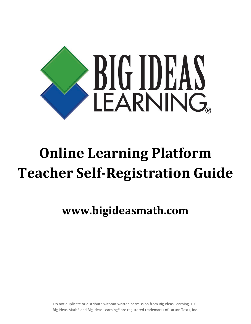

## **Online Learning Platform Teacher Self-Registration Guide**

**www.bigideasmath.com**

Do not duplicate or distribute without written permission from Big Ideas Learning, LLC. Big Ideas Math® and Big Ideas Learning® are registered trademarks of Larson Texts, Inc.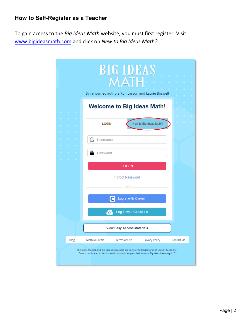## **How to Self-Register as a Teacher**

To gain access to the *Big Ideas Math* website, you must first register. Visit [www.bigideasmath.com](http://www.bigideasmath.com/) and click on *New to Big Ideas Math?*

|      | <b>BIG IDEAS</b><br>MΔ<br>By renowned authors Ron Larson and Laurie Boswell                                                                                                        |  |
|------|------------------------------------------------------------------------------------------------------------------------------------------------------------------------------------|--|
|      | <b>Welcome to Big Ideas Math!</b>                                                                                                                                                  |  |
|      | New to Big Ideas Math?<br><b>LOGIN</b>                                                                                                                                             |  |
|      | Username                                                                                                                                                                           |  |
|      | Password                                                                                                                                                                           |  |
|      | <b>LOG IN</b>                                                                                                                                                                      |  |
|      | <b>Forgot Password</b>                                                                                                                                                             |  |
|      | - OR -                                                                                                                                                                             |  |
|      | Log in with Clever                                                                                                                                                                 |  |
|      | Log in with ClassLink<br>$\sim$                                                                                                                                                    |  |
|      | <b>View Easy Access Materials</b>                                                                                                                                                  |  |
| Blog | <b>Math Musicals</b><br>Terms of Use<br>Privacy Policy<br>Contact Us                                                                                                               |  |
|      | Big Ideas Math® and Big Ideas Learning® are registered trademarks of Larson Texts, Inc.<br>Do not duplicate or distribute without written permission from Big Ideas Learning, LLC. |  |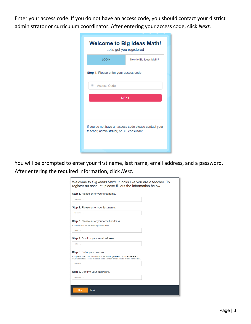Enter your access code. If you do not have an access code, you should contact your district administrator or curriculum coordinator. After entering your access code, click *Next*.

| <b>Welcome to Big Ideas Math!</b><br>Let's get you registered                                      |  |  |  |  |  |
|----------------------------------------------------------------------------------------------------|--|--|--|--|--|
| <b>LOGIN</b><br>New to Big Ideas Math?                                                             |  |  |  |  |  |
| <b>Step 1.</b> Please enter your access code                                                       |  |  |  |  |  |
| Access Code<br>0.0.0                                                                               |  |  |  |  |  |
| <b>NEXT</b>                                                                                        |  |  |  |  |  |
| If you do not have an access code please contact your<br>teacher, administrator, or BIL consultant |  |  |  |  |  |

You will be prompted to enter your first name, last name, email address, and a password. After entering the required information, click *Next*.

| first name                                                                                                                                                                          |  |
|-------------------------------------------------------------------------------------------------------------------------------------------------------------------------------------|--|
| Step 2. Please enter your last name.                                                                                                                                                |  |
| last name                                                                                                                                                                           |  |
| Step 3. Please enter your email address.                                                                                                                                            |  |
| Your email address will become your username.                                                                                                                                       |  |
| email                                                                                                                                                                               |  |
| email                                                                                                                                                                               |  |
| Step 5. Enter your password.                                                                                                                                                        |  |
| Your password should contain three of the following elements: an uppercase letter, a<br>lowercase letter, a special character, and a number. It must also be at least 8 characters. |  |
| password                                                                                                                                                                            |  |
| Step 6. Confirm your password.                                                                                                                                                      |  |
| password                                                                                                                                                                            |  |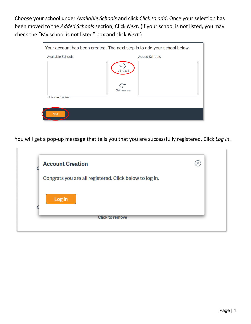Choose your school under *Available Schools* and click *Click to add*. Once your selection has been moved to the *Added Schools* section, Click *Next*. (If your school is not listed, you may check the "My school is not listed" box and click *Next*.)

| Your account has been created. The next step is to add your school below. |                                 |  |  |  |
|---------------------------------------------------------------------------|---------------------------------|--|--|--|
| Available Schools                                                         | <b>Added Schools</b>            |  |  |  |
| $\Box$ My school is not listed.                                           | Click to add<br>Click to remove |  |  |  |
|                                                                           |                                 |  |  |  |
| <b>Next</b>                                                               |                                 |  |  |  |

You will get a pop-up message that tells you that you are successfully registered. Click *Log in*.

| <b>Account Creation</b>                                 | √×، |
|---------------------------------------------------------|-----|
| Congrats you are all registered. Click below to log in. |     |
| Log in                                                  |     |
| <b>Click to remove</b>                                  |     |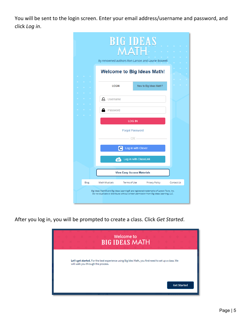You will be sent to the login screen. Enter your email address/username and password, and click *Log in*.

|                                                                                                                                                                                    | <b>BIG IDEAS</b><br><b>MATH.</b><br>By renowned authors Ron Larson and Laurie Boswell |  |  |  |  |  |
|------------------------------------------------------------------------------------------------------------------------------------------------------------------------------------|---------------------------------------------------------------------------------------|--|--|--|--|--|
|                                                                                                                                                                                    | <b>Welcome to Big Ideas Math!</b>                                                     |  |  |  |  |  |
|                                                                                                                                                                                    | <b>LOGIN</b><br>New to Big Ideas Math?                                                |  |  |  |  |  |
|                                                                                                                                                                                    | д<br>Username                                                                         |  |  |  |  |  |
|                                                                                                                                                                                    | Password<br><b>LOG IN</b>                                                             |  |  |  |  |  |
|                                                                                                                                                                                    | <b>Forgot Password</b>                                                                |  |  |  |  |  |
|                                                                                                                                                                                    | $OR -$<br>Log in with Clever<br>$\overline{c}$                                        |  |  |  |  |  |
|                                                                                                                                                                                    | Log in with ClassLink<br>-62                                                          |  |  |  |  |  |
|                                                                                                                                                                                    | <b>View Easy Access Materials</b>                                                     |  |  |  |  |  |
| Blog                                                                                                                                                                               | Privacy Policy<br><b>Math Musicals</b><br>Terms of Use<br>Contact Us                  |  |  |  |  |  |
| Big Ideas Math® and Big Ideas Learning® are registered trademarks of Larson Texts, Inc.<br>Do not duplicate or distribute without written permission from Big Ideas Learning, LLC. |                                                                                       |  |  |  |  |  |

After you log in, you will be prompted to create a class. Click *Get Started*.

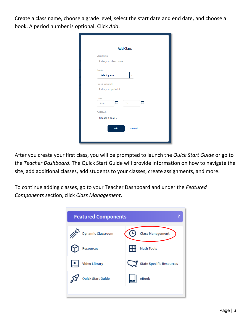Create a class name, choose a grade level, select the start date and end date, and choose a book. A period number is optional. Click *Add*.

| <b>Add Class</b>      |    |
|-----------------------|----|
| Class Name            |    |
| Enter your class name |    |
| Grade                 |    |
| Select grade          |    |
| Period (optional)     |    |
| Enter your period #   |    |
| <b>Dates</b>          |    |
| æ<br>From<br>To       | Ŧ. |
| <b>Add Book</b>       |    |
| Choose a book $\sim$  |    |
|                       |    |
| Add<br><b>Cancel</b>  |    |

After you create your first class, you will be prompted to launch the *Quick Start Guide* or go to the *Teacher Dashboard*. The Quick Start Guide will provide information on how to navigate the site, add additional classes, add students to your classes, create assignments, and more.

To continue adding classes, go to your Teacher Dashboard and under the *Featured Components* section, click *Class Management*.